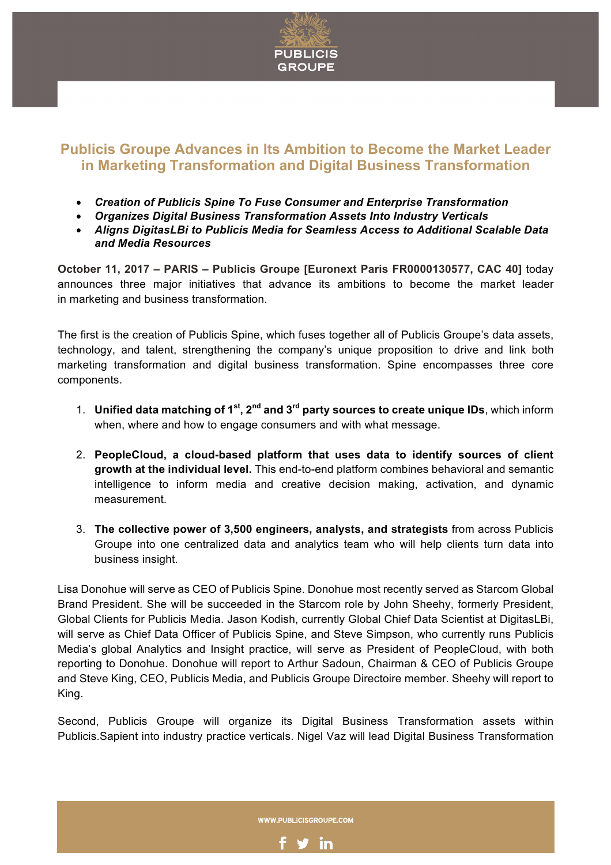

## **Publicis Groupe Advances in Its Ambition to Become the Market Leader in Marketing Transformation and Digital Business Transformation**

- *Creation of Publicis Spine To Fuse Consumer and Enterprise Transformation*
- *Organizes Digital Business Transformation Assets Into Industry Verticals*
- *Aligns DigitasLBi to Publicis Media for Seamless Access to Additional Scalable Data and Media Resources*

**October 11, 2017 – PARIS – Publicis Groupe [Euronext Paris FR0000130577, CAC 40]** today announces three major initiatives that advance its ambitions to become the market leader in marketing and business transformation.

The first is the creation of Publicis Spine, which fuses together all of Publicis Groupe's data assets, technology, and talent, strengthening the company's unique proposition to drive and link both marketing transformation and digital business transformation. Spine encompasses three core components.

- 1. **Unified data matching of 1st, 2nd and 3rd party sources to create unique IDs**, which inform when, where and how to engage consumers and with what message.
- 2. **PeopleCloud, a cloud-based platform that uses data to identify sources of client growth at the individual level.** This end-to-end platform combines behavioral and semantic intelligence to inform media and creative decision making, activation, and dynamic measurement.
- 3. **The collective power of 3,500 engineers, analysts, and strategists** from across Publicis Groupe into one centralized data and analytics team who will help clients turn data into business insight.

Lisa Donohue will serve as CEO of Publicis Spine. Donohue most recently served as Starcom Global Brand President. She will be succeeded in the Starcom role by John Sheehy, formerly President, Global Clients for Publicis Media. Jason Kodish, currently Global Chief Data Scientist at DigitasLBi, will serve as Chief Data Officer of Publicis Spine, and Steve Simpson, who currently runs Publicis Media's global Analytics and Insight practice, will serve as President of PeopleCloud, with both reporting to Donohue. Donohue will report to Arthur Sadoun, Chairman & CEO of Publicis Groupe and Steve King, CEO, Publicis Media, and Publicis Groupe Directoire member. Sheehy will report to King.

Second, Publicis Groupe will organize its Digital Business Transformation assets within Publicis.Sapient into industry practice verticals. Nigel Vaz will lead Digital Business Transformation

WWW.PUBLICISGROUPE.COM